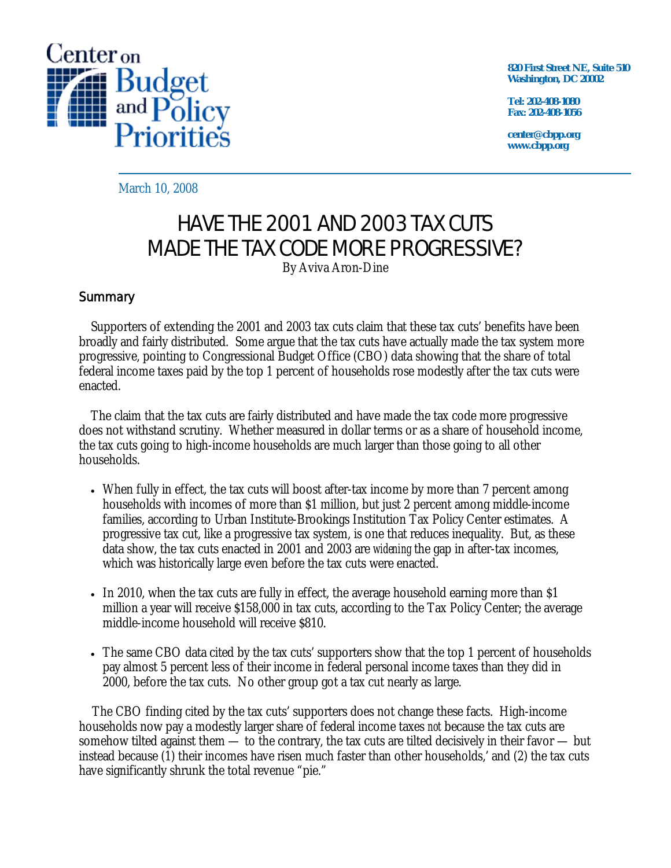

**820 First Street NE, Suite 510 Washington, DC 20002** 

**Tel: 202-408-1080 Fax: 202-408-1056** 

**center@cbpp.org www.cbpp.org** 

March 10, 2008

# HAVE THE 2001 AND 2003 TAX CUTS MADE THE TAX CODE MORE PROGRESSIVE?

By Aviva Aron-Dine

## **Summary**

 Supporters of extending the 2001 and 2003 tax cuts claim that these tax cuts' benefits have been broadly and fairly distributed. Some argue that the tax cuts have actually made the tax system more progressive, pointing to Congressional Budget Office (CBO) data showing that the share of total federal income taxes paid by the top 1 percent of households rose modestly after the tax cuts were enacted.

 The claim that the tax cuts are fairly distributed and have made the tax code more progressive does not withstand scrutiny. Whether measured in dollar terms or as a share of household income, the tax cuts going to high-income households are much larger than those going to all other households.

- When fully in effect, the tax cuts will boost after-tax income by more than 7 percent among households with incomes of more than \$1 million, but just 2 percent among middle-income families, according to Urban Institute-Brookings Institution Tax Policy Center estimates. A progressive tax cut, like a progressive tax system, is one that reduces inequality. But, as these data show, the tax cuts enacted in 2001 and 2003 are *widening* the gap in after-tax incomes, which was historically large even before the tax cuts were enacted.
- In 2010, when the tax cuts are fully in effect, the average household earning more than \$1 million a year will receive \$158,000 in tax cuts, according to the Tax Policy Center; the average middle-income household will receive \$810.
- The same CBO data cited by the tax cuts' supporters show that the top 1 percent of households pay almost 5 percent less of their income in federal personal income taxes than they did in 2000, before the tax cuts. No other group got a tax cut nearly as large.

The CBO finding cited by the tax cuts' supporters does not change these facts. High-income households now pay a modestly larger share of federal income taxes *not* because the tax cuts are somehow tilted against them — to the contrary, the tax cuts are tilted decisively in their favor — but instead because (1) their incomes have risen much faster than other households,' and (2) the tax cuts have significantly shrunk the total revenue "pie."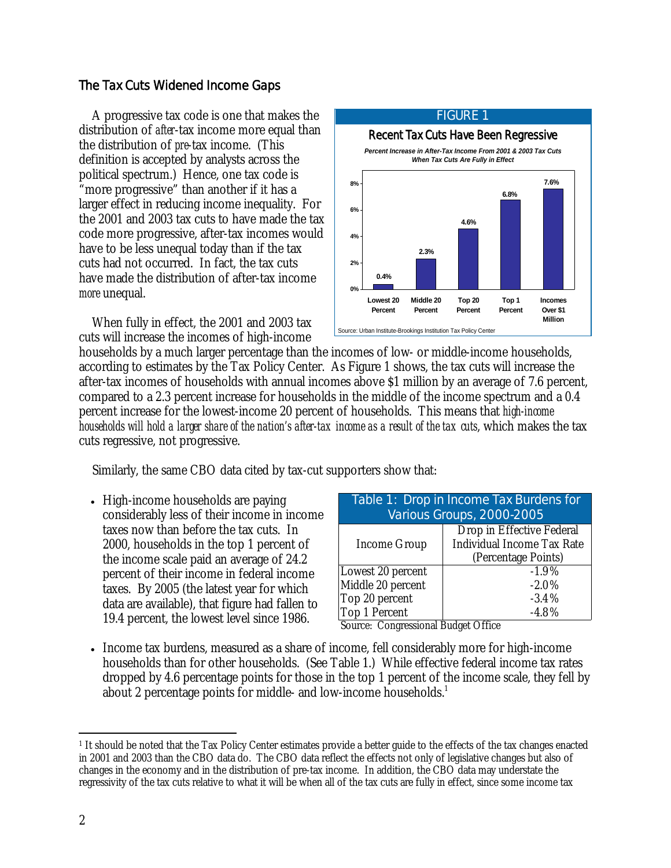## The Tax Cuts Widened Income Gaps

A progressive tax code is one that makes the distribution of *after*-tax income more equal than the distribution of *pre*-tax income. (This definition is accepted by analysts across the political spectrum.) Hence, one tax code is "more progressive" than another if it has a larger effect in reducing income inequality. For the 2001 and 2003 tax cuts to have made the tax code more progressive, after-tax incomes would have to be less unequal today than if the tax cuts had not occurred. In fact, the tax cuts have made the distribution of after-tax income *more* unequal.

When fully in effect, the 2001 and 2003 tax cuts will increase the incomes of high-income



households by a much larger percentage than the incomes of low- or middle-income households, according to estimates by the Tax Policy Center. As Figure 1 shows, the tax cuts will increase the after-tax incomes of households with annual incomes above \$1 million by an average of 7.6 percent, compared to a 2.3 percent increase for households in the middle of the income spectrum and a 0.4 percent increase for the lowest-income 20 percent of households. This means that *high-income households will hold a larger share of the nation's after-tax income as a result of the tax cuts*, which makes the tax cuts regressive, not progressive.

Similarly, the same CBO data cited by tax-cut supporters show that:

• High-income households are paying considerably less of their income in income taxes now than before the tax cuts. In 2000, households in the top 1 percent of the income scale paid an average of 24.2 percent of their income in federal income taxes. By 2005 (the latest year for which data are available), that figure had fallen to 19.4 percent, the lowest level since 1986.

| Table 1: Drop in Income Tax Burdens for |                                   |  |  |  |  |
|-----------------------------------------|-----------------------------------|--|--|--|--|
| Various Groups, 2000-2005               |                                   |  |  |  |  |
|                                         | Drop in Effective Federal         |  |  |  |  |
| Income Group                            | <b>Individual Income Tax Rate</b> |  |  |  |  |
|                                         | (Percentage Points)               |  |  |  |  |
| Lowest 20 percent                       | $-1.9%$                           |  |  |  |  |
| Middle 20 percent                       | $-2.0%$                           |  |  |  |  |
| Top 20 percent                          | $-3.4%$                           |  |  |  |  |
| Top 1 Percent<br>$-4.8%$                |                                   |  |  |  |  |
|                                         |                                   |  |  |  |  |

Source: Congressional Budget Office

• Income tax burdens, measured as a share of income, fell considerably more for high-income households than for other households. (See Table 1.) While effective federal income tax rates dropped by 4.6 percentage points for those in the top 1 percent of the income scale, they fell by about 2 percentage points for middle- and low-income households.<sup>1</sup>

 $\overline{a}$ 1 It should be noted that the Tax Policy Center estimates provide a better guide to the effects of the tax changes enacted in 2001 and 2003 than the CBO data do. The CBO data reflect the effects not only of legislative changes but also of changes in the economy and in the distribution of pre-tax income. In addition, the CBO data may understate the regressivity of the tax cuts relative to what it will be when all of the tax cuts are fully in effect, since some income tax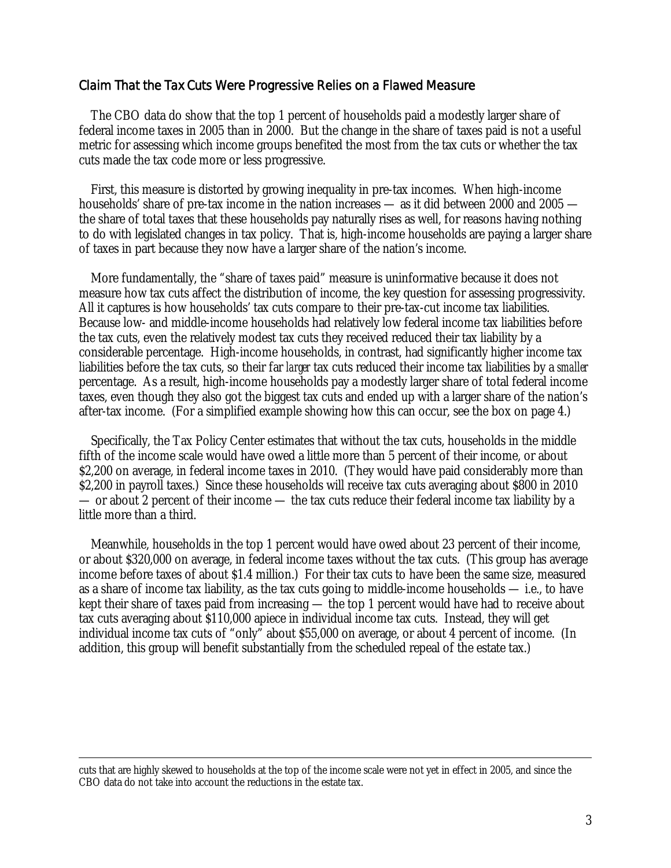### Claim That the Tax Cuts Were Progressive Relies on a Flawed Measure

 The CBO data do show that the top 1 percent of households paid a modestly larger share of federal income taxes in 2005 than in 2000. But the change in the share of taxes paid is not a useful metric for assessing which income groups benefited the most from the tax cuts or whether the tax cuts made the tax code more or less progressive.

 First, this measure is distorted by growing inequality in pre-tax incomes. When high-income households' share of pre-tax income in the nation increases — as it did between 2000 and 2005 the share of total taxes that these households pay naturally rises as well, for reasons having nothing to do with legislated changes in tax policy. That is, high-income households are paying a larger share of taxes in part because they now have a larger share of the nation's income.

 More fundamentally, the "share of taxes paid" measure is uninformative because it does not measure how tax cuts affect the distribution of income, the key question for assessing progressivity. All it captures is how households' tax cuts compare to their pre-tax-cut income tax liabilities. Because low- and middle-income households had relatively low federal income tax liabilities before the tax cuts, even the relatively modest tax cuts they received reduced their tax liability by a considerable percentage. High-income households, in contrast, had significantly higher income tax liabilities before the tax cuts, so their far *larger* tax cuts reduced their income tax liabilities by a *smaller*  percentage. As a result, high-income households pay a modestly larger share of total federal income taxes, even though they also got the biggest tax cuts and ended up with a larger share of the nation's after-tax income. (For a simplified example showing how this can occur, see the box on page 4.)

 Specifically, the Tax Policy Center estimates that without the tax cuts, households in the middle fifth of the income scale would have owed a little more than 5 percent of their income, or about \$2,200 on average, in federal income taxes in 2010. (They would have paid considerably more than \$2,200 in payroll taxes.) Since these households will receive tax cuts averaging about \$800 in 2010 — or about 2 percent of their income — the tax cuts reduce their federal income tax liability by a little more than a third.

 Meanwhile, households in the top 1 percent would have owed about 23 percent of their income, or about \$320,000 on average, in federal income taxes without the tax cuts. (This group has average income before taxes of about \$1.4 million.) For their tax cuts to have been the same size, measured as a share of income tax liability, as the tax cuts going to middle-income households — i.e., to have kept their share of taxes paid from increasing — the top 1 percent would have had to receive about tax cuts averaging about \$110,000 apiece in individual income tax cuts. Instead, they will get individual income tax cuts of "only" about \$55,000 on average, or about 4 percent of income. (In addition, this group will benefit substantially from the scheduled repeal of the estate tax.)

cuts that are highly skewed to households at the top of the income scale were not yet in effect in 2005, and since the CBO data do not take into account the reductions in the estate tax.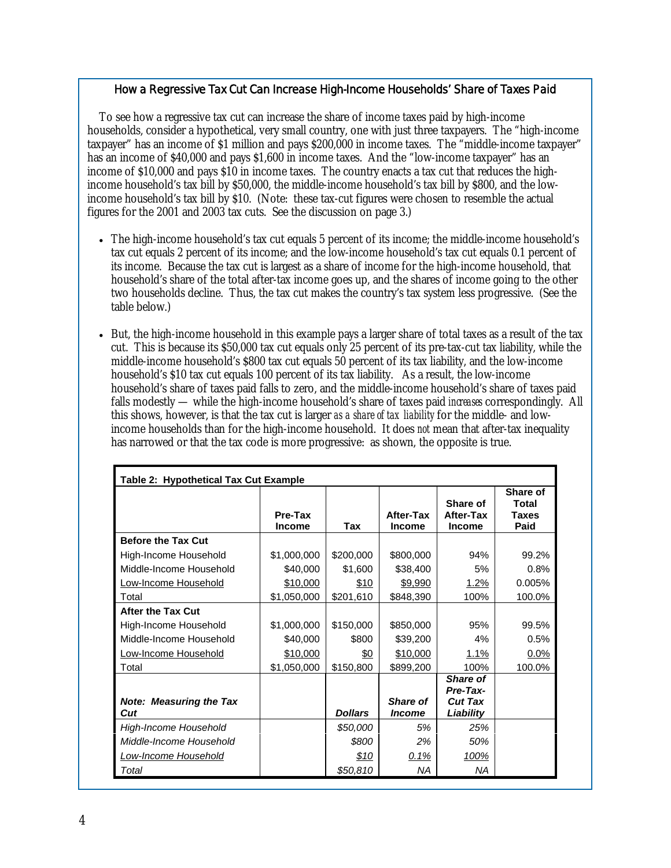### How a Regressive Tax Cut Can Increase High-Income Households' Share of Taxes Paid

 To see how a regressive tax cut can increase the share of income taxes paid by high-income households, consider a hypothetical, very small country, one with just three taxpayers. The "high-income taxpayer" has an income of \$1 million and pays \$200,000 in income taxes. The "middle-income taxpayer" has an income of \$40,000 and pays \$1,600 in income taxes. And the "low-income taxpayer" has an income of \$10,000 and pays \$10 in income taxes. The country enacts a tax cut that reduces the highincome household's tax bill by \$50,000, the middle-income household's tax bill by \$800, and the lowincome household's tax bill by \$10. (Note: these tax-cut figures were chosen to resemble the actual figures for the 2001 and 2003 tax cuts. See the discussion on page 3.)

- The high-income household's tax cut equals 5 percent of its income; the middle-income household's tax cut equals 2 percent of its income; and the low-income household's tax cut equals 0.1 percent of its income. Because the tax cut is largest as a share of income for the high-income household, that household's share of the total after-tax income goes up, and the shares of income going to the other two households decline. Thus, the tax cut makes the country's tax system less progressive. (See the table below.)
- But, the high-income household in this example pays a larger share of total taxes as a result of the tax cut. This is because its \$50,000 tax cut equals only 25 percent of its pre-tax-cut tax liability, while the middle-income household's \$800 tax cut equals 50 percent of its tax liability, and the low-income household's \$10 tax cut equals 100 percent of its tax liability. As a result, the low-income household's share of taxes paid falls to zero, and the middle-income household's share of taxes paid falls modestly — while the high-income household's share of taxes paid *increases* correspondingly. All this shows, however, is that the tax cut is larger *as a share of tax liability* for the middle- and lowincome households than for the high-income household. It does *not* mean that after-tax inequality has narrowed or that the tax code is more progressive: as shown, the opposite is true.

| Table 2: Hypothetical Tax Cut Example |                          |                |                            |                                               |                                           |  |
|---------------------------------------|--------------------------|----------------|----------------------------|-----------------------------------------------|-------------------------------------------|--|
|                                       | Pre-Tax<br><b>Income</b> | Tax            | After-Tax<br><b>Income</b> | Share of<br>After-Tax<br><b>Income</b>        | Share of<br>Total<br><b>Taxes</b><br>Paid |  |
| <b>Before the Tax Cut</b>             |                          |                |                            |                                               |                                           |  |
| High-Income Household                 | \$1,000,000              | \$200,000      | \$800,000                  | 94%                                           | 99.2%                                     |  |
| Middle-Income Household               | \$40,000                 | \$1,600        | \$38,400                   | 5%                                            | 0.8%                                      |  |
| Low-Income Household                  | \$10,000                 | \$10           | \$9,990                    | 1.2%                                          | 0.005%                                    |  |
| Total                                 | \$1,050,000              | \$201,610      | \$848,390                  | 100%                                          | 100.0%                                    |  |
| <b>After the Tax Cut</b>              |                          |                |                            |                                               |                                           |  |
| High-Income Household                 | \$1,000,000              | \$150,000      | \$850,000                  | 95%                                           | 99.5%                                     |  |
| Middle-Income Household               | \$40,000                 | \$800          | \$39,200                   | 4%                                            | 0.5%                                      |  |
| Low-Income Household                  | \$10,000                 | <u>\$0</u>     | \$10,000                   | $1.1\%$                                       | 0.0%                                      |  |
| Total                                 | \$1,050,000              | \$150,800      | \$899,200                  | 100%                                          | 100.0%                                    |  |
| <b>Note: Measuring the Tax</b>        |                          |                | <b>Share of</b>            | <b>Share of</b><br>Pre-Tax-<br><b>Cut Tax</b> |                                           |  |
| Cut                                   |                          | <b>Dollars</b> | <i><b>Income</b></i>       | Liability                                     |                                           |  |
| High-Income Household                 |                          | \$50,000       | 5%                         | 25%                                           |                                           |  |
| Middle-Income Household               |                          | \$800          | 2%                         | 50%                                           |                                           |  |
| Low-Income Household                  |                          | \$10           | 0.1%                       | 100%                                          |                                           |  |
| Total                                 |                          | \$50,810       | ΝA                         | NA                                            |                                           |  |